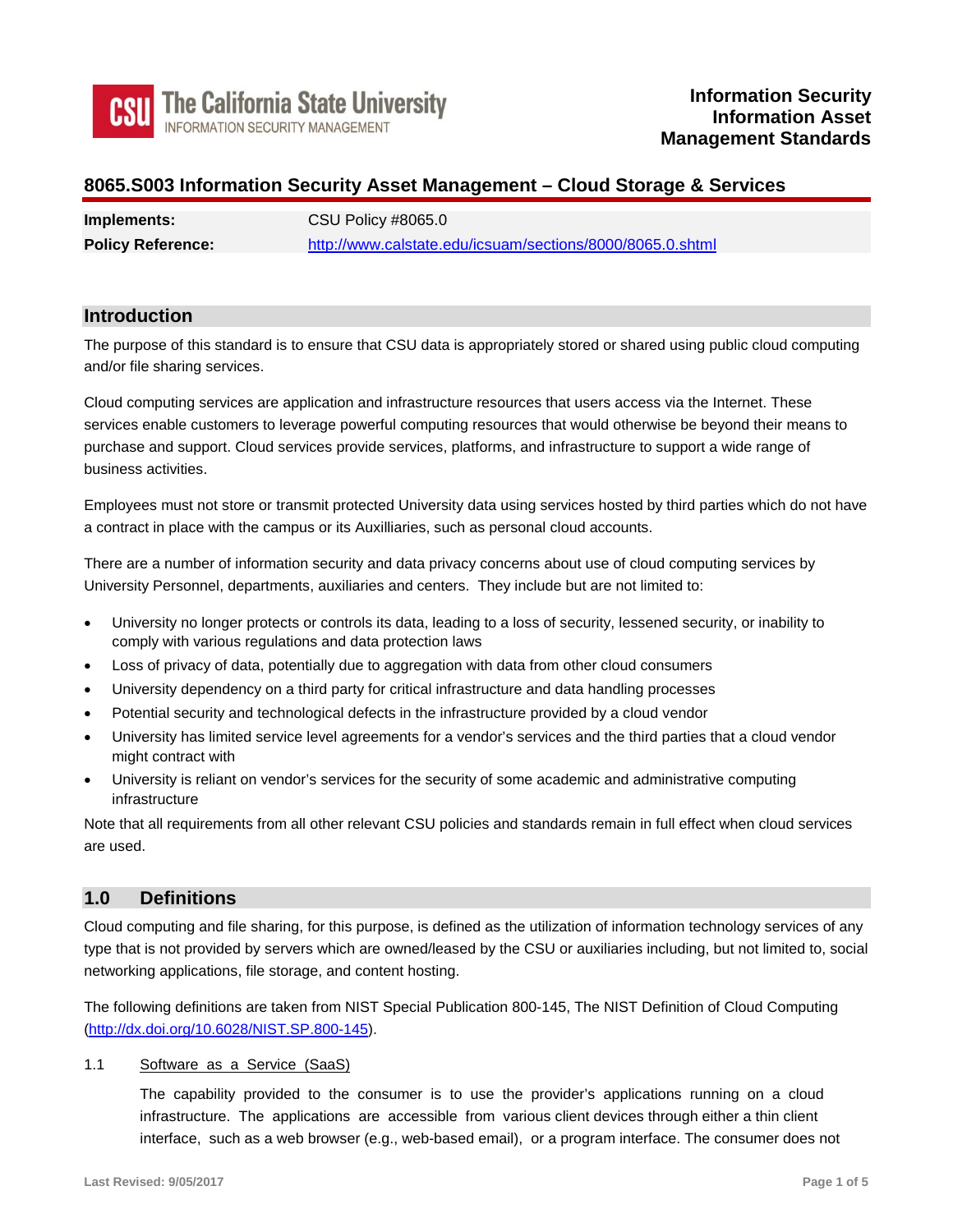

## **8065.S003 Information Security Asset Management – Cloud Storage & Services**

| Implements:              | <b>CSU Policy #8065.0</b>                                 |
|--------------------------|-----------------------------------------------------------|
| <b>Policy Reference:</b> | http://www.calstate.edu/icsuam/sections/8000/8065.0.shtml |

## **Introduction**

 The purpose of this standard is to ensure that CSU data is appropriately stored or shared using public cloud computing and/or file sharing services.

 Cloud computing services are application and infrastructure resources that users access via the Internet. These services enable customers to leverage powerful computing resources that would otherwise be beyond their means to purchase and support. Cloud services provide services, platforms, and infrastructure to support a wide range of business activities.

 Employees must not store or transmit protected University data using services hosted by third parties which do not have a contract in place with the campus or its Auxilliaries, such as personal cloud accounts.

 There are a number of information security and data privacy concerns about use of cloud computing services by University Personnel, departments, auxiliaries and centers. They include but are not limited to:

- • University no longer protects or controls its data, leading to a loss of security, lessened security, or inability to comply with various regulations and data protection laws
- Loss of privacy of data, potentially due to aggregation with data from other cloud consumers
- University dependency on a third party for critical infrastructure and data handling processes
- Potential security and technological defects in the infrastructure provided by a cloud vendor
- • University has limited service level agreements for a vendor's services and the third parties that a cloud vendor might contract with
- • University is reliant on vendor's services for the security of some academic and administrative computing infrastructure

 Note that all requirements from all other relevant CSU policies and standards remain in full effect when cloud services are used.

## **1.0 Definitions**

 Cloud computing and file sharing, for this purpose, is defined as the utilization of information technology services of any type that is not provided by servers which are owned/leased by the CSU or auxiliaries including, but not limited to, social networking applications, file storage, and content hosting.

 The following definitions are taken from NIST Special Publication 800-145, The NIST Definition of Cloud Computing [\(http://dx.doi.org/10.6028/NIST.SP.800-145\)](http://dx.doi.org/10.6028/NIST.SP.800-145).

### 1.1 Software as a Service (SaaS)

 The capability provided to the consumer is to use the provider's applications running on a cloud infrastructure. The applications are accessible from various client devices through either a thin client interface, such as a web browser (e.g., web-based email), or a program interface. The consumer does not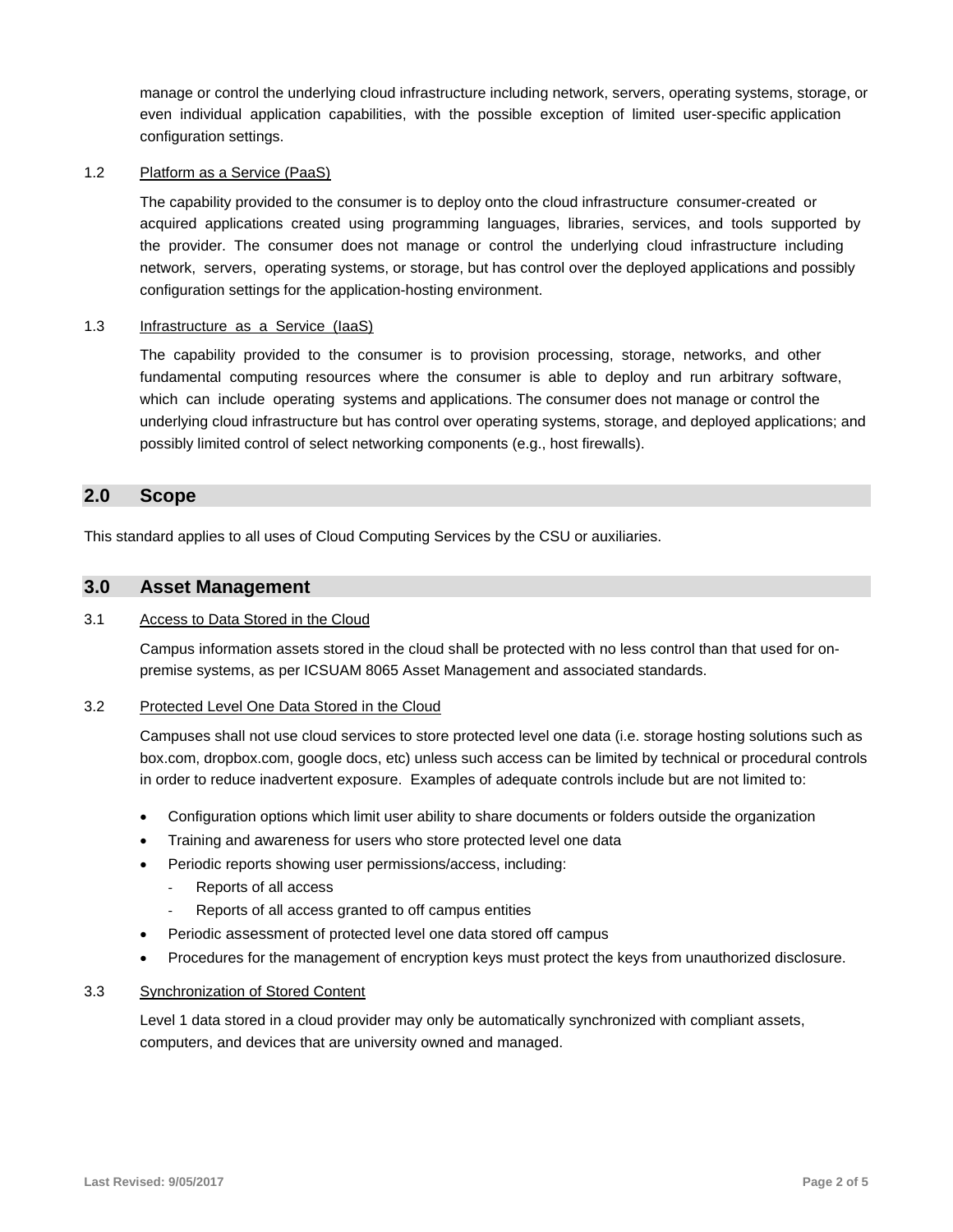manage or control the underlying cloud infrastructure including network, servers, operating systems, storage, or even individual application capabilities, with the possible exception of limited user-specific application configuration settings.

#### 1.2 Platform as a Service (PaaS)

 The capability provided to the consumer is to deploy onto the cloud infrastructure consumer-created or acquired applications created using programming languages, libraries, services, and tools supported by the provider. The consumer does not manage or control the underlying cloud infrastructure including network, servers, operating systems, or storage, but has control over the deployed applications and possibly configuration settings for the application-hosting environment.

#### 1.3 Infrastructure as a Service (laaS)

 The capability provided to the consumer is to provision processing, storage, networks, and other fundamental computing resources where the consumer is able to deploy and run arbitrary software, which can include operating systems and applications. The consumer does not manage or control the underlying cloud infrastructure but has control over operating systems, storage, and deployed applications; and possibly limited control of select networking components (e.g., host firewalls).

### **2.0 Scope**

This standard applies to all uses of Cloud Computing Services by the CSU or auxiliaries.

### **3.0 Asset Management**

#### 3.1 Access to Data Stored in the Cloud

 Campus information assets stored in the cloud shall be protected with no less control than that used for on-premise systems, as per ICSUAM 8065 Asset Management and associated standards.

#### 3.2 Protected Level One Data Stored in the Cloud

 Campuses shall not use cloud services to store protected level one data (i.e. storage hosting solutions such as box.com, [dropbox.com,](https://dropbox.com) google docs, etc) unless such access can be limited by technical or procedural controls in order to reduce inadvertent exposure. Examples of adequate controls include but are not limited to:

- Configuration options which limit user ability to share documents or folders outside the organization
- Training and awareness for users who store protected level one data
- • Periodic reports showing user permissions/access, including:
	- Reports of all access
	- Reports of all access granted to off campus entities
- Periodic assessment of protected level one data stored off campus
- Procedures for the management of encryption keys must protect the keys from unauthorized disclosure.

#### 3.3 Synchronization of Stored Content

 Level 1 data stored in a cloud provider may only be automatically synchronized with compliant assets, computers, and devices that are university owned and managed.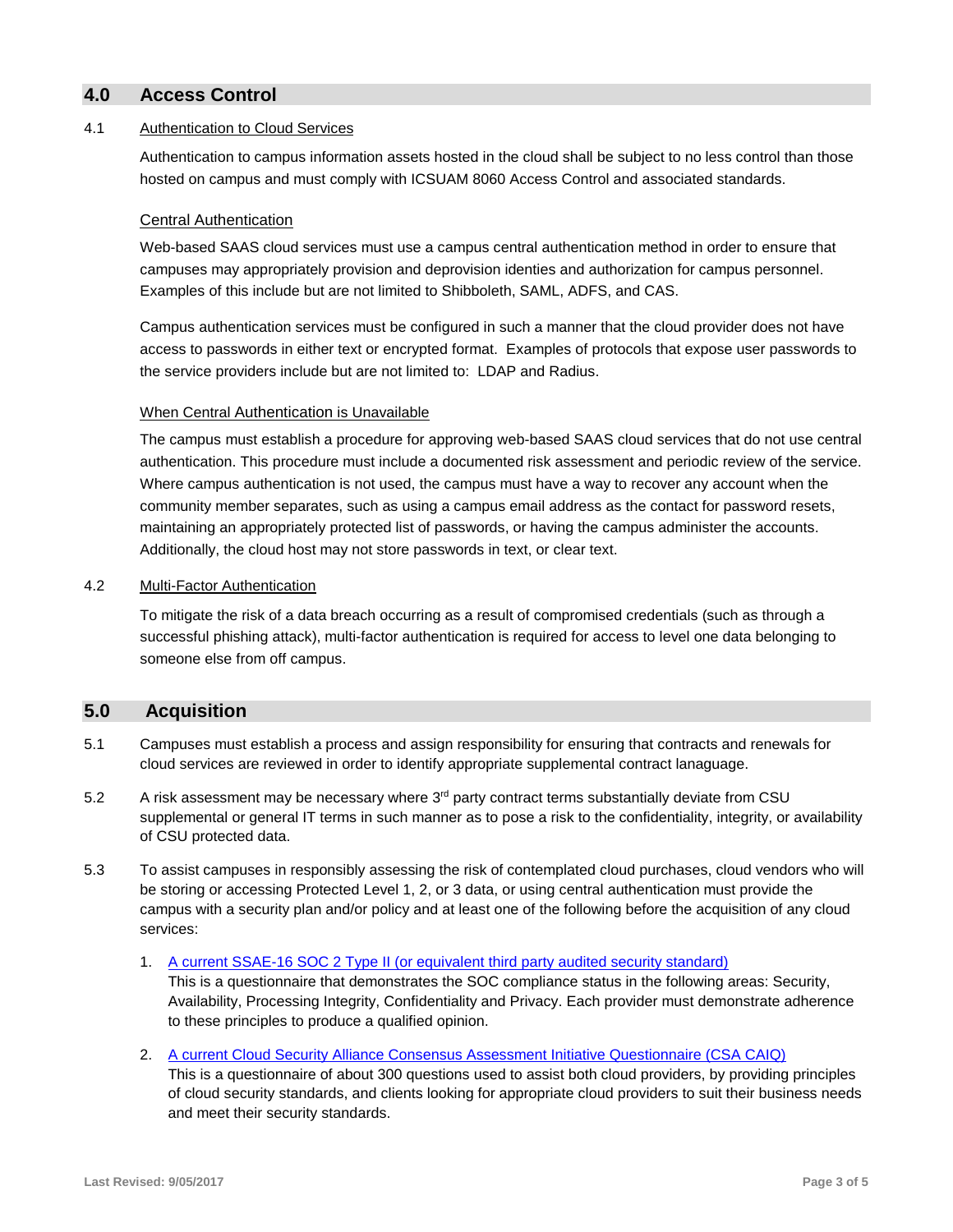## **4.0 Access Control**

#### 4.1 Authentication to Cloud Services

 Authentication to campus information assets hosted in the cloud shall be subject to no less control than those hosted on campus and must comply with ICSUAM 8060 Access Control and associated standards.

#### Central Authentication

 Web-based SAAS cloud services must use a campus central authentication method in order to ensure that campuses may appropriately provision and deprovision identies and authorization for campus personnel. Examples of this include but are not limited to Shibboleth, SAML, ADFS, and CAS.

 Campus authentication services must be configured in such a manner that the cloud provider does not have access to passwords in either text or encrypted format. Examples of protocols that expose user passwords to the service providers include but are not limited to: LDAP and Radius.

#### When Central Authentication is Unavailable

 The campus must establish a procedure for approving web-based SAAS cloud services that do not use central authentication. This procedure must include a documented risk assessment and periodic review of the service.<br>Where campus authentication is not used, the campus must have a way to recover any account when the Where campus authentication is not used, the campus must have a way to recover any account when the community member separates, such as using a campus email address as the contact for password resets, maintaining an appropriately protected list of passwords, or having the campus administer the accounts. Additionally, the cloud host may not store passwords in text, or clear text.

#### 4.2 Multi-Factor Authentication

 To mitigate the risk of a data breach occurring as a result of compromised credentials (such as through a successful phishing attack), multi-factor authentication is required for access to level one data belonging to someone else from off campus.

## **5.0 Acquisition**

- cloud services are reviewed in order to identify appropriate supplemental contract lanaguage. 5.1 Campuses must establish a process and assign responsibility for ensuring that contracts and renewals for
- 5.2 A risk assessment may be necessary where  $3<sup>rd</sup>$  party contract terms substantially deviate from CSU supplemental or general IT terms in such manner as to pose a risk to the confidentiality, integrity, or availability of CSU protected data.
- 5.3 To assist campuses in responsibly assessing the risk of contemplated cloud purchases, cloud vendors who will be storing or accessing Protected Level 1, 2, or 3 data, or using central authentication must provide the campus with a security plan and/or policy and at least one of the following before the acquisition of any cloud services:
	- 1. A current SSAE-16 SOC 2 Type II (or equivalent third party audited security standard)

 This is a questionnaire that demonstrates the SOC compliance status in the following areas: Security, Availability, Processing Integrity, Confidentiality and Privacy. Each provider must demonstrate adherence to these principles to produce a qualified opinion.

2. A current Cloud Security Alliance Consensus Assessment Initiative Questionnaire (CSA CAIQ) This is a questionnaire of about 300 questions used to assist both cloud providers, by providing principles of cloud security standards, and clients looking for appropriate cloud providers to suit their business needs and meet their security standards.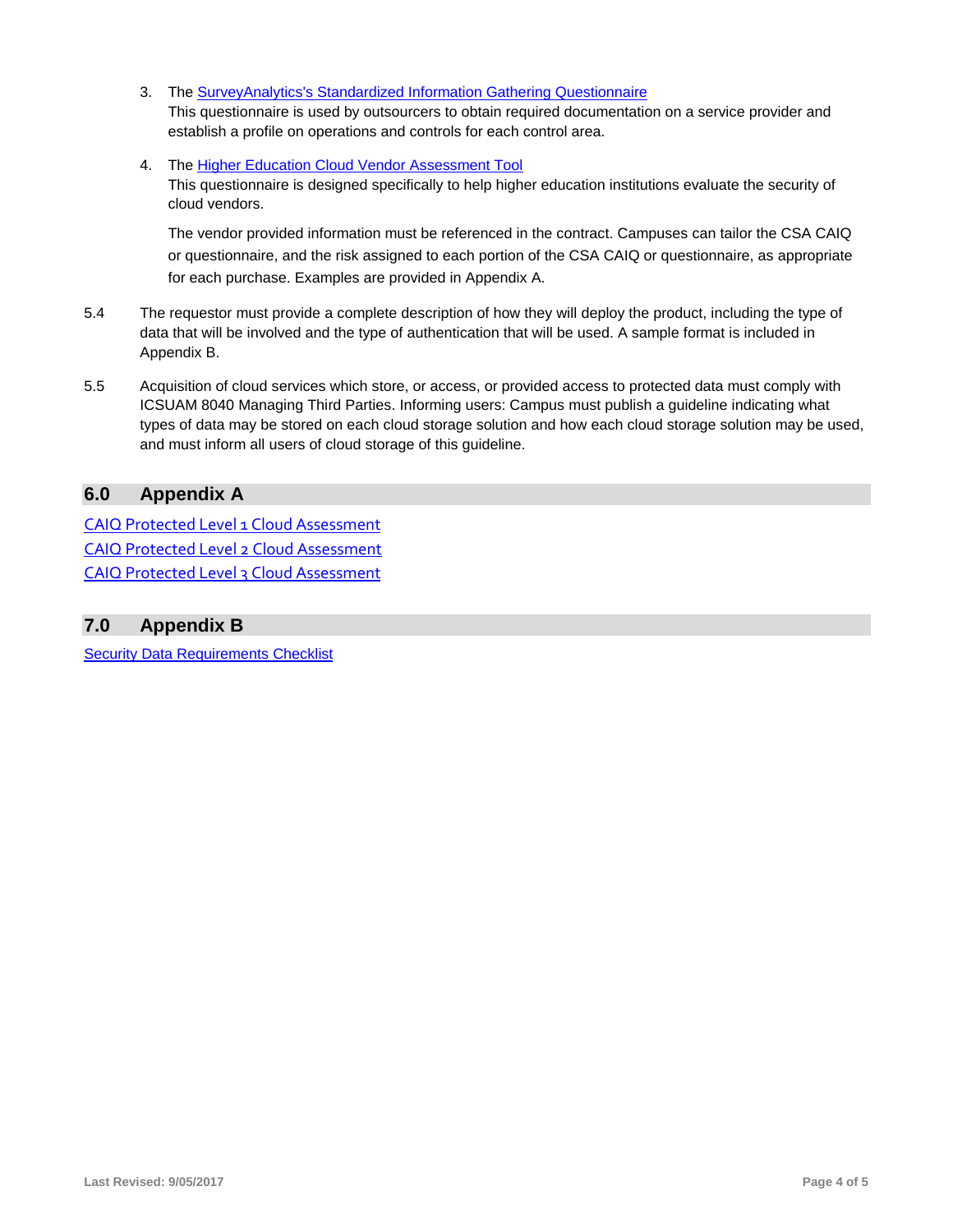- This questionnaire is used by outsourcers to obtain required documentation on a service provider and establish a profile on operations and controls for each control area. 3. The [SurveyAnalytics's Standardized Information Gathering Questionnaire](https://sharedassessments.org/)
- 4. The [Higher Education Cloud Vendor Assessment Tool](https://library.educause.edu/resources/2016/10/higher-education-cloud-vendor-assessment-tool)

 This questionnaire is designed specifically to help higher education institutions evaluate the security of cloud vendors.

 The vendor provided information must be referenced in the contract. Campuses can tailor the CSA CAIQ or questionnaire, and the risk assigned to each portion of the CSA CAIQ or questionnaire, as appropriate for each purchase. Examples are provided in Appendix A.

- 5.4 The requestor must provide a complete description of how they will deploy the product, including the type of data that will be involved and the type of authentication that will be used. A sample format is included in Appendix B.
- 5.5 Acquisition of cloud services which store, or access, or provided access to protected data must comply with ICSUAM 8040 Managing Third Parties. Informing users: Campus must publish a guideline indicating what types of data may be stored on each cloud storage solution and how each cloud storage solution may be used, and must inform all users of cloud storage of this guideline.

## **6.0 Appendix A**

L L L CAIQ Protected Level 1 Cloud Assessment [CAIQ Protected Level 2 Cloud Assessment](https://www2.calstate.edu/csu-system/administration/business-finance/icsuam/appendix/CAIQ-Protected-Level-2-Cloud-Assessment.xls)  [CAIQ Protected Level 3 Cloud Assessment](https://www2.calstate.edu/csu-system/administration/business-finance/icsuam/appendix/CAIQ-Protected-Level-3-Cloud-Assessment.xls) 

## **7.0 Appendix B**

[Security Data Requirements Checklist](https://www2.calstate.edu/csu-system/administration/business-finance/icsuam/appendix/SECURITY-DATA-REQUIREMENTS-CHECKLIST.doc)